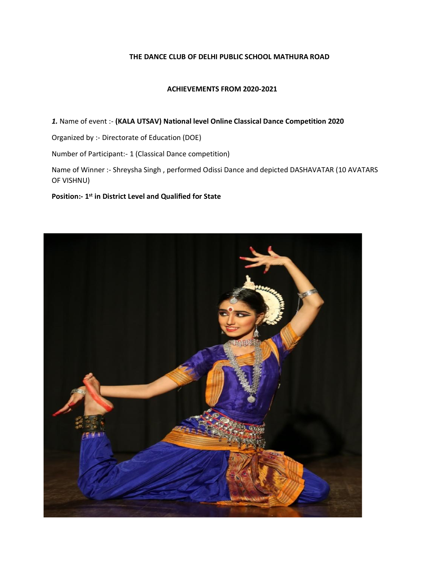### **THE DANCE CLUB OF DELHI PUBLIC SCHOOL MATHURA ROAD**

### **ACHIEVEMENTS FROM 2020-2021**

*1.* Name of event :- **(KALA UTSAV) National level Online Classical Dance Competition 2020**

Organized by :- Directorate of Education (DOE)

Number of Participant:- 1 (Classical Dance competition)

Name of Winner :- Shreysha Singh , performed Odissi Dance and depicted DASHAVATAR (10 AVATARS OF VISHNU)

## **Position:- 1 st in District Level and Qualified for State**

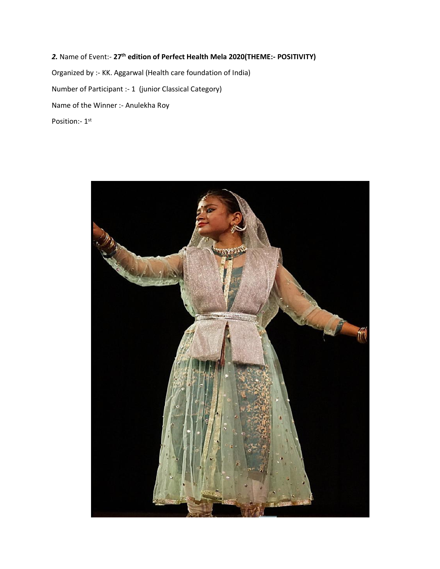*2.* Name of Event:- **27th edition of Perfect Health Mela 2020(THEME:- POSITIVITY)** Organized by :- KK. Aggarwal (Health care foundation of India) Number of Participant :- 1 (junior Classical Category) Name of the Winner :- Anulekha Roy Position:- 1st

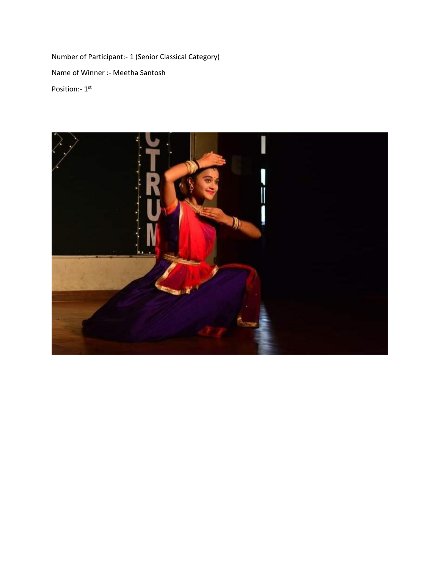Number of Participant:- 1 (Senior Classical Category) Name of Winner :- Meetha Santosh Position:- 1st

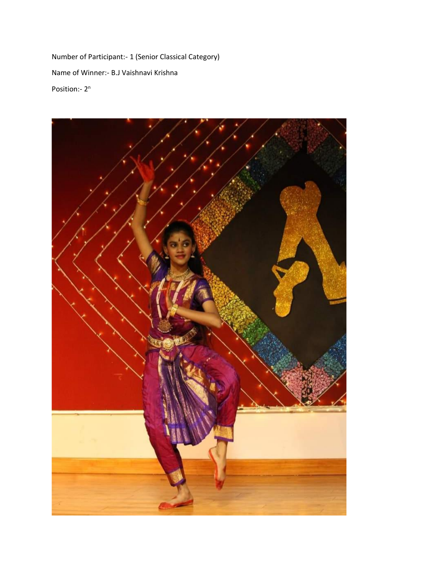Number of Participant:- 1 (Senior Classical Category) Name of Winner:- B.J Vaishnavi Krishna Position:- 2<sup>n</sup>

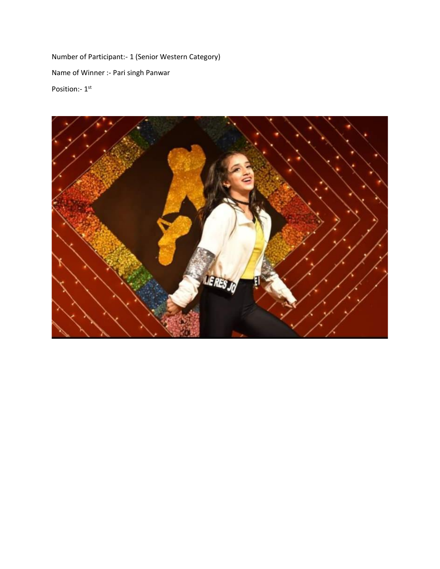Number of Participant:- 1 (Senior Western Category) Name of Winner :- Pari singh Panwar Position:- 1st

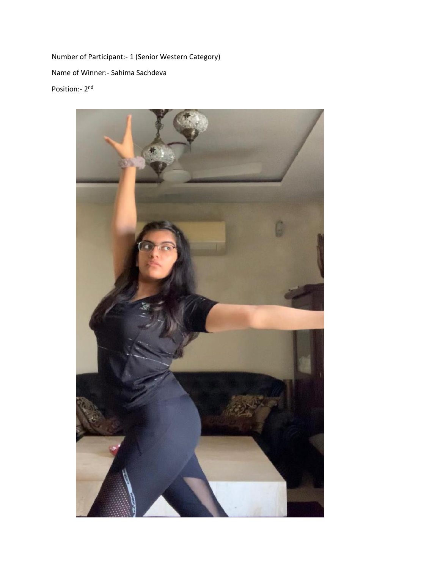Number of Participant:- 1 (Senior Western Category) Name of Winner:- Sahima Sachdeva Position:- 2<sup>nd</sup>

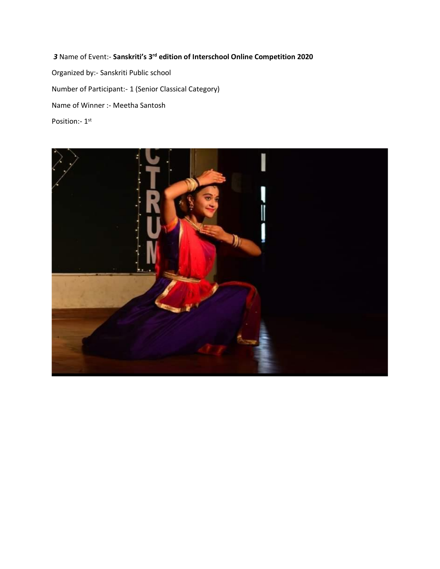*3* Name of Event:- **Sanskriti's 3rd edition of Interschool Online Competition 2020**

Organized by:- Sanskriti Public school Number of Participant:- 1 (Senior Classical Category) Name of Winner :- Meetha Santosh Position:- 1st

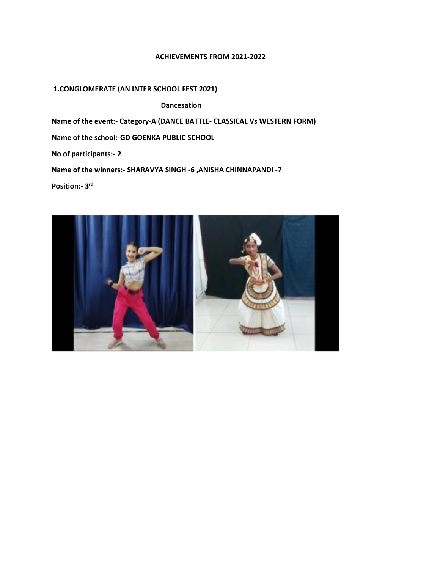### **ACHIEVEMENTS FROM 2021-2022**

# **1.CONGLOMERATE (AN INTER SCHOOL FEST 2021)**

 **Dancesation**

**Name of the event:- Category-A (DANCE BATTLE- CLASSICAL Vs WESTERN FORM)**

**Name of the school:-GD GOENKA PUBLIC SCHOOL** 

**No of participants:- 2**

**Name of the winners:- SHARAVYA SINGH -6 ,ANISHA CHINNAPANDI -7**

**Position:- 3 rd**